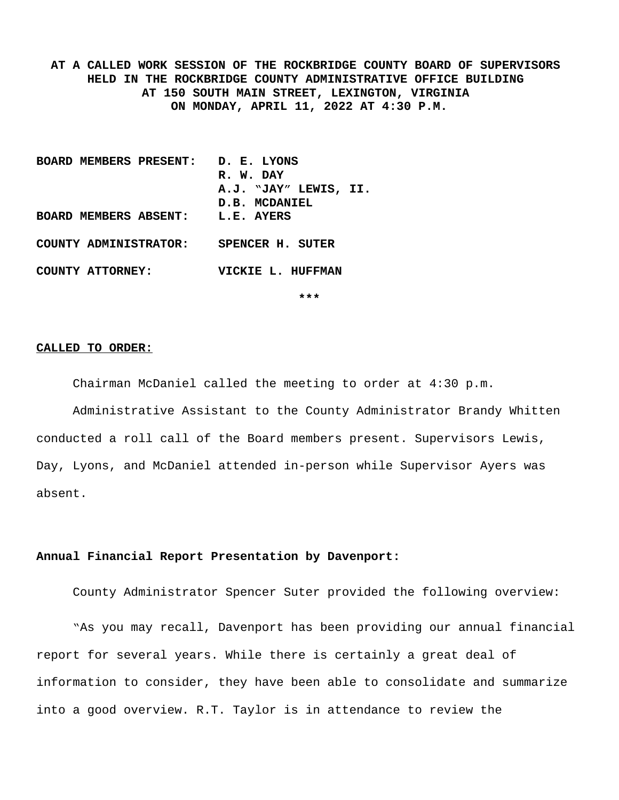**AT A CALLED WORK SESSION OF THE ROCKBRIDGE COUNTY BOARD OF SUPERVISORS HELD IN THE ROCKBRIDGE COUNTY ADMINISTRATIVE OFFICE BUILDING AT 150 SOUTH MAIN STREET, LEXINGTON, VIRGINIA ON MONDAY, APRIL 11, 2022 AT 4:30 P.M.**

**BOARD MEMBERS PRESENT: D. E. LYONS R. W. DAY A.J. "JAY" LEWIS, II. D.B. MCDANIEL BOARD MEMBERS ABSENT: L.E. AYERS COUNTY ADMINISTRATOR: SPENCER H. SUTER COUNTY ATTORNEY: VICKIE L. HUFFMAN**

**\*\*\***

#### **CALLED TO ORDER:**

Chairman McDaniel called the meeting to order at 4:30 p.m.

Administrative Assistant to the County Administrator Brandy Whitten conducted a roll call of the Board members present. Supervisors Lewis, Day, Lyons, and McDaniel attended in-person while Supervisor Ayers was absent.

## **Annual Financial Report Presentation by Davenport:**

County Administrator Spencer Suter provided the following overview:

"As you may recall, Davenport has been providing our annual financial report for several years. While there is certainly a great deal of information to consider, they have been able to consolidate and summarize into a good overview. R.T. Taylor is in attendance to review the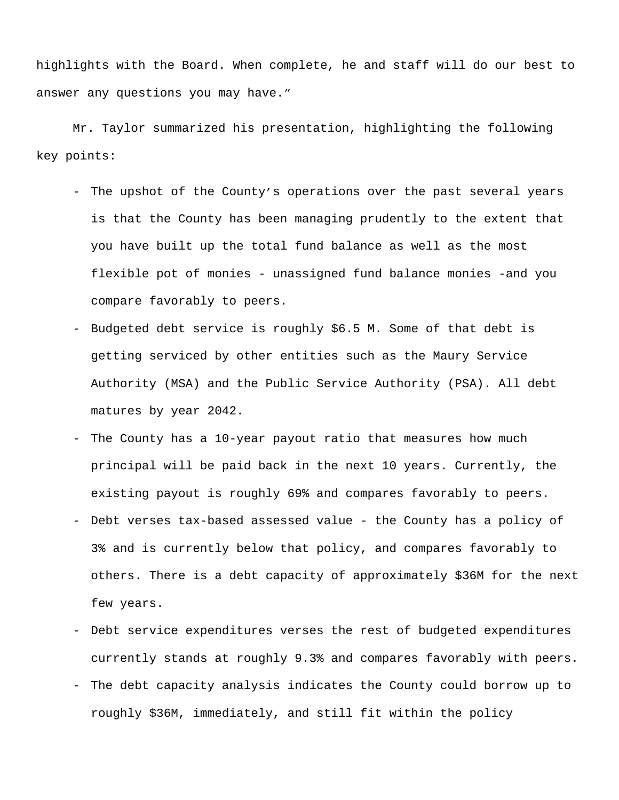highlights with the Board. When complete, he and staff will do our best to answer any questions you may have."

Mr. Taylor summarized his presentation, highlighting the following key points:

- The upshot of the County's operations over the past several years is that the County has been managing prudently to the extent that you have built up the total fund balance as well as the most flexible pot of monies - unassigned fund balance monies -and you compare favorably to peers.
- Budgeted debt service is roughly \$6.5 M. Some of that debt is getting serviced by other entities such as the Maury Service Authority (MSA) and the Public Service Authority (PSA). All debt matures by year 2042.
- The County has a 10-year payout ratio that measures how much principal will be paid back in the next 10 years. Currently, the existing payout is roughly 69% and compares favorably to peers.
- Debt verses tax-based assessed value the County has a policy of 3% and is currently below that policy, and compares favorably to others. There is a debt capacity of approximately \$36M for the next few years.
- Debt service expenditures verses the rest of budgeted expenditures currently stands at roughly 9.3% and compares favorably with peers.
- The debt capacity analysis indicates the County could borrow up to roughly \$36M, immediately, and still fit within the policy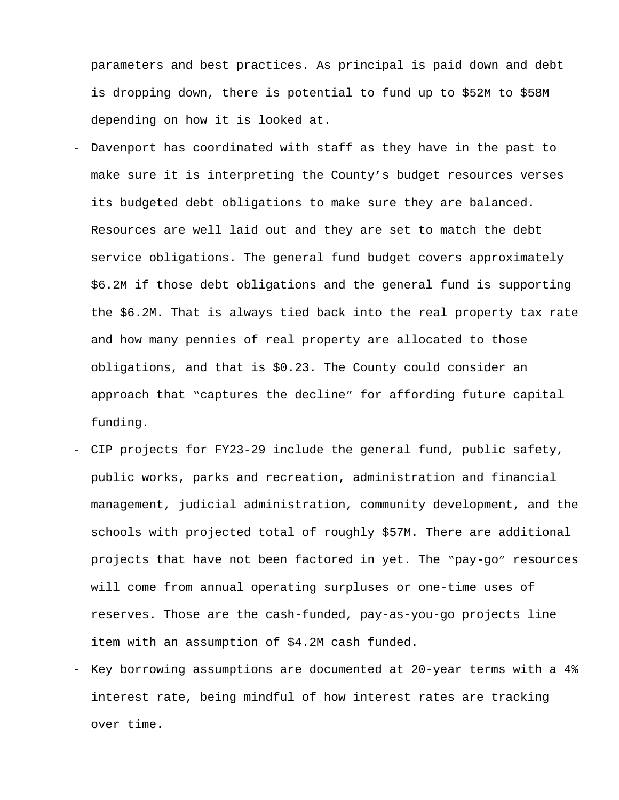parameters and best practices. As principal is paid down and debt is dropping down, there is potential to fund up to \$52M to \$58M depending on how it is looked at.

- Davenport has coordinated with staff as they have in the past to make sure it is interpreting the County's budget resources verses its budgeted debt obligations to make sure they are balanced. Resources are well laid out and they are set to match the debt service obligations. The general fund budget covers approximately \$6.2M if those debt obligations and the general fund is supporting the \$6.2M. That is always tied back into the real property tax rate and how many pennies of real property are allocated to those obligations, and that is \$0.23. The County could consider an approach that "captures the decline" for affording future capital funding.
- CIP projects for FY23-29 include the general fund, public safety, public works, parks and recreation, administration and financial management, judicial administration, community development, and the schools with projected total of roughly \$57M. There are additional projects that have not been factored in yet. The "pay-go" resources will come from annual operating surpluses or one-time uses of reserves. Those are the cash-funded, pay-as-you-go projects line item with an assumption of \$4.2M cash funded.
- Key borrowing assumptions are documented at 20-year terms with a 4% interest rate, being mindful of how interest rates are tracking over time.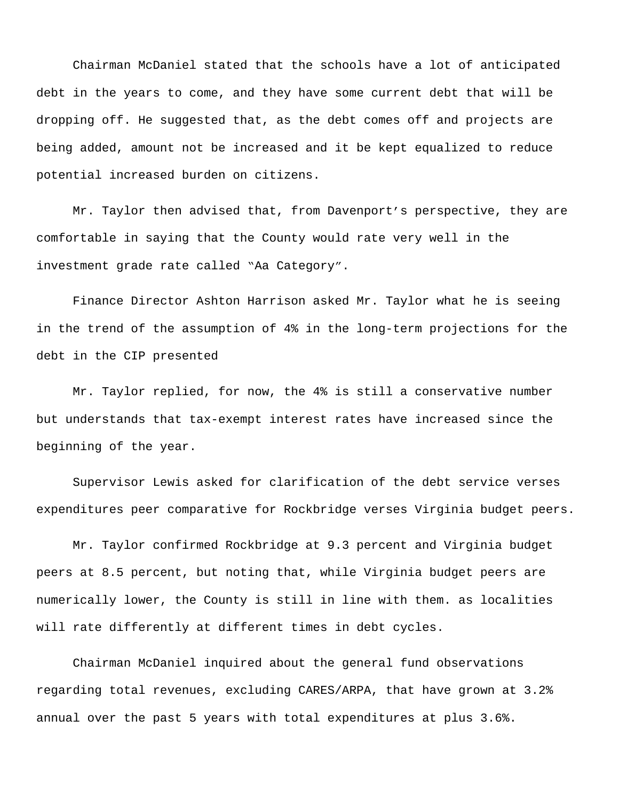Chairman McDaniel stated that the schools have a lot of anticipated debt in the years to come, and they have some current debt that will be dropping off. He suggested that, as the debt comes off and projects are being added, amount not be increased and it be kept equalized to reduce potential increased burden on citizens.

Mr. Taylor then advised that, from Davenport's perspective, they are comfortable in saying that the County would rate very well in the investment grade rate called "Aa Category".

Finance Director Ashton Harrison asked Mr. Taylor what he is seeing in the trend of the assumption of 4% in the long-term projections for the debt in the CIP presented

Mr. Taylor replied, for now, the 4% is still a conservative number but understands that tax-exempt interest rates have increased since the beginning of the year.

Supervisor Lewis asked for clarification of the debt service verses expenditures peer comparative for Rockbridge verses Virginia budget peers.

Mr. Taylor confirmed Rockbridge at 9.3 percent and Virginia budget peers at 8.5 percent, but noting that, while Virginia budget peers are numerically lower, the County is still in line with them. as localities will rate differently at different times in debt cycles.

Chairman McDaniel inquired about the general fund observations regarding total revenues, excluding CARES/ARPA, that have grown at 3.2% annual over the past 5 years with total expenditures at plus 3.6%.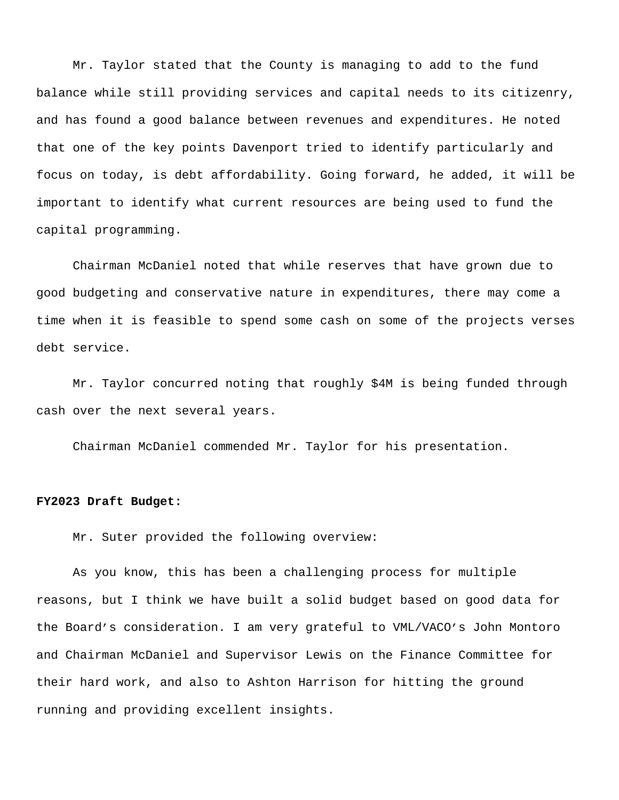Mr. Taylor stated that the County is managing to add to the fund balance while still providing services and capital needs to its citizenry, and has found a good balance between revenues and expenditures. He noted that one of the key points Davenport tried to identify particularly and focus on today, is debt affordability. Going forward, he added, it will be important to identify what current resources are being used to fund the capital programming.

Chairman McDaniel noted that while reserves that have grown due to good budgeting and conservative nature in expenditures, there may come a time when it is feasible to spend some cash on some of the projects verses debt service.

Mr. Taylor concurred noting that roughly \$4M is being funded through cash over the next several years.

Chairman McDaniel commended Mr. Taylor for his presentation.

### **FY2023 Draft Budget:**

Mr. Suter provided the following overview:

As you know, this has been a challenging process for multiple reasons, but I think we have built a solid budget based on good data for the Board's consideration. I am very grateful to VML/VACO's John Montoro and Chairman McDaniel and Supervisor Lewis on the Finance Committee for their hard work, and also to Ashton Harrison for hitting the ground running and providing excellent insights.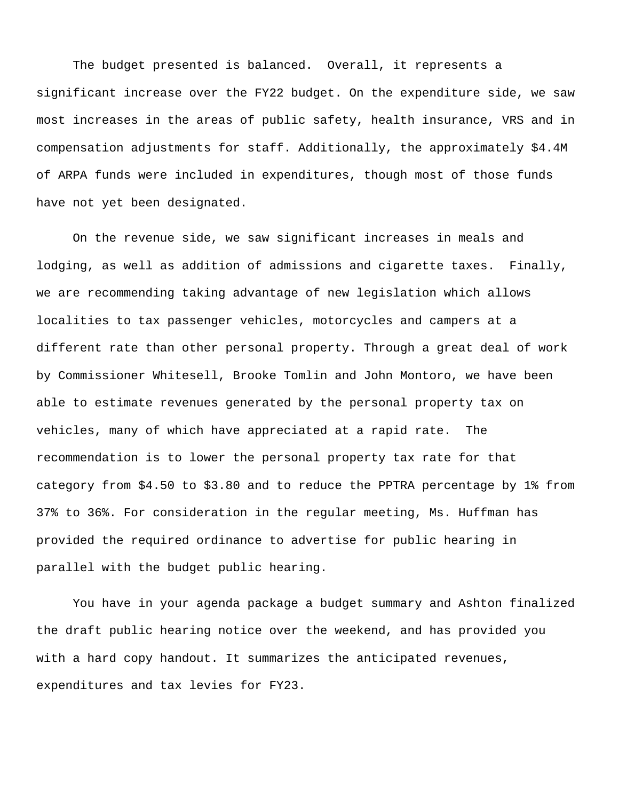The budget presented is balanced. Overall, it represents a significant increase over the FY22 budget. On the expenditure side, we saw most increases in the areas of public safety, health insurance, VRS and in compensation adjustments for staff. Additionally, the approximately \$4.4M of ARPA funds were included in expenditures, though most of those funds have not yet been designated.

On the revenue side, we saw significant increases in meals and lodging, as well as addition of admissions and cigarette taxes. Finally, we are recommending taking advantage of new legislation which allows localities to tax passenger vehicles, motorcycles and campers at a different rate than other personal property. Through a great deal of work by Commissioner Whitesell, Brooke Tomlin and John Montoro, we have been able to estimate revenues generated by the personal property tax on vehicles, many of which have appreciated at a rapid rate. The recommendation is to lower the personal property tax rate for that category from \$4.50 to \$3.80 and to reduce the PPTRA percentage by 1% from 37% to 36%. For consideration in the regular meeting, Ms. Huffman has provided the required ordinance to advertise for public hearing in parallel with the budget public hearing.

You have in your agenda package a budget summary and Ashton finalized the draft public hearing notice over the weekend, and has provided you with a hard copy handout. It summarizes the anticipated revenues, expenditures and tax levies for FY23.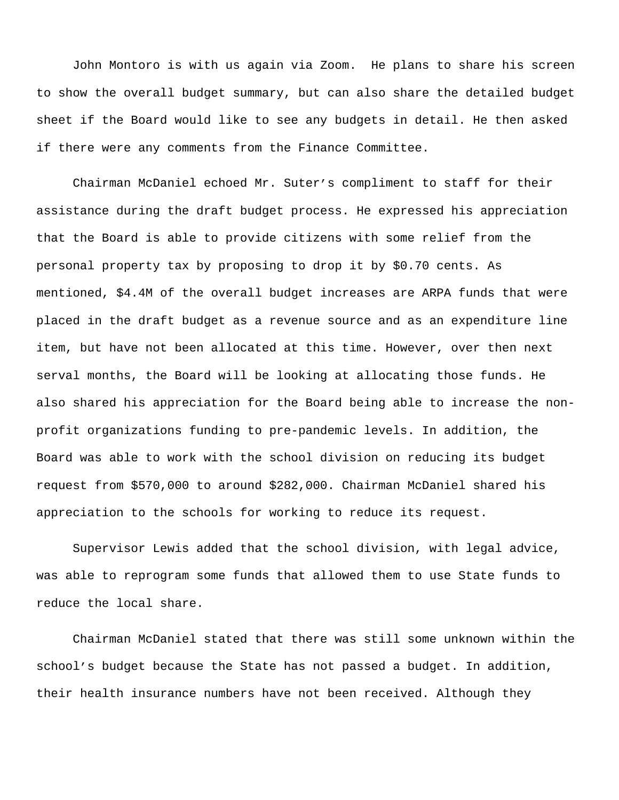John Montoro is with us again via Zoom. He plans to share his screen to show the overall budget summary, but can also share the detailed budget sheet if the Board would like to see any budgets in detail. He then asked if there were any comments from the Finance Committee.

Chairman McDaniel echoed Mr. Suter's compliment to staff for their assistance during the draft budget process. He expressed his appreciation that the Board is able to provide citizens with some relief from the personal property tax by proposing to drop it by \$0.70 cents. As mentioned, \$4.4M of the overall budget increases are ARPA funds that were placed in the draft budget as a revenue source and as an expenditure line item, but have not been allocated at this time. However, over then next serval months, the Board will be looking at allocating those funds. He also shared his appreciation for the Board being able to increase the nonprofit organizations funding to pre-pandemic levels. In addition, the Board was able to work with the school division on reducing its budget request from \$570,000 to around \$282,000. Chairman McDaniel shared his appreciation to the schools for working to reduce its request.

Supervisor Lewis added that the school division, with legal advice, was able to reprogram some funds that allowed them to use State funds to reduce the local share.

Chairman McDaniel stated that there was still some unknown within the school's budget because the State has not passed a budget. In addition, their health insurance numbers have not been received. Although they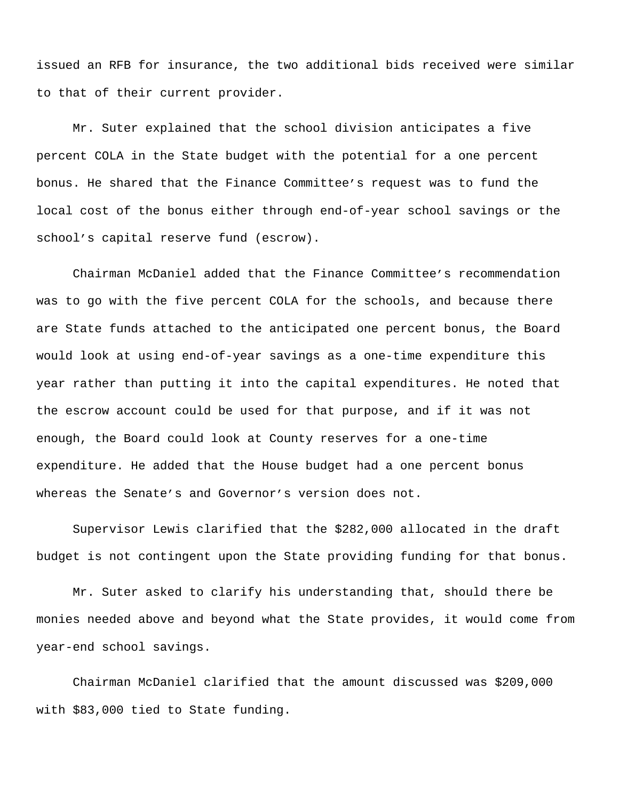issued an RFB for insurance, the two additional bids received were similar to that of their current provider.

Mr. Suter explained that the school division anticipates a five percent COLA in the State budget with the potential for a one percent bonus. He shared that the Finance Committee's request was to fund the local cost of the bonus either through end-of-year school savings or the school's capital reserve fund (escrow).

Chairman McDaniel added that the Finance Committee's recommendation was to go with the five percent COLA for the schools, and because there are State funds attached to the anticipated one percent bonus, the Board would look at using end-of-year savings as a one-time expenditure this year rather than putting it into the capital expenditures. He noted that the escrow account could be used for that purpose, and if it was not enough, the Board could look at County reserves for a one-time expenditure. He added that the House budget had a one percent bonus whereas the Senate's and Governor's version does not.

Supervisor Lewis clarified that the \$282,000 allocated in the draft budget is not contingent upon the State providing funding for that bonus.

Mr. Suter asked to clarify his understanding that, should there be monies needed above and beyond what the State provides, it would come from year-end school savings.

Chairman McDaniel clarified that the amount discussed was \$209,000 with \$83,000 tied to State funding.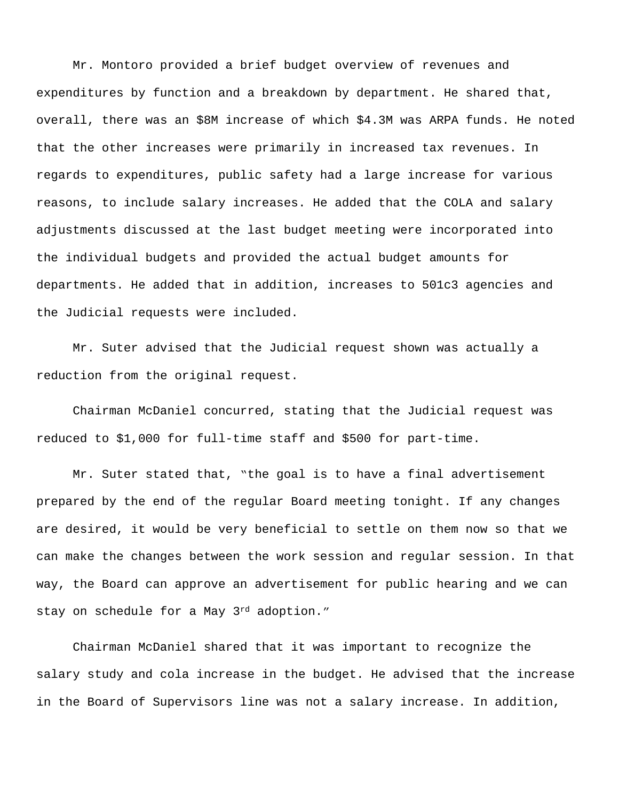Mr. Montoro provided a brief budget overview of revenues and expenditures by function and a breakdown by department. He shared that, overall, there was an \$8M increase of which \$4.3M was ARPA funds. He noted that the other increases were primarily in increased tax revenues. In regards to expenditures, public safety had a large increase for various reasons, to include salary increases. He added that the COLA and salary adjustments discussed at the last budget meeting were incorporated into the individual budgets and provided the actual budget amounts for departments. He added that in addition, increases to 501c3 agencies and the Judicial requests were included.

Mr. Suter advised that the Judicial request shown was actually a reduction from the original request.

Chairman McDaniel concurred, stating that the Judicial request was reduced to \$1,000 for full-time staff and \$500 for part-time.

Mr. Suter stated that, "the goal is to have a final advertisement prepared by the end of the regular Board meeting tonight. If any changes are desired, it would be very beneficial to settle on them now so that we can make the changes between the work session and regular session. In that way, the Board can approve an advertisement for public hearing and we can stay on schedule for a May 3rd adoption."

Chairman McDaniel shared that it was important to recognize the salary study and cola increase in the budget. He advised that the increase in the Board of Supervisors line was not a salary increase. In addition,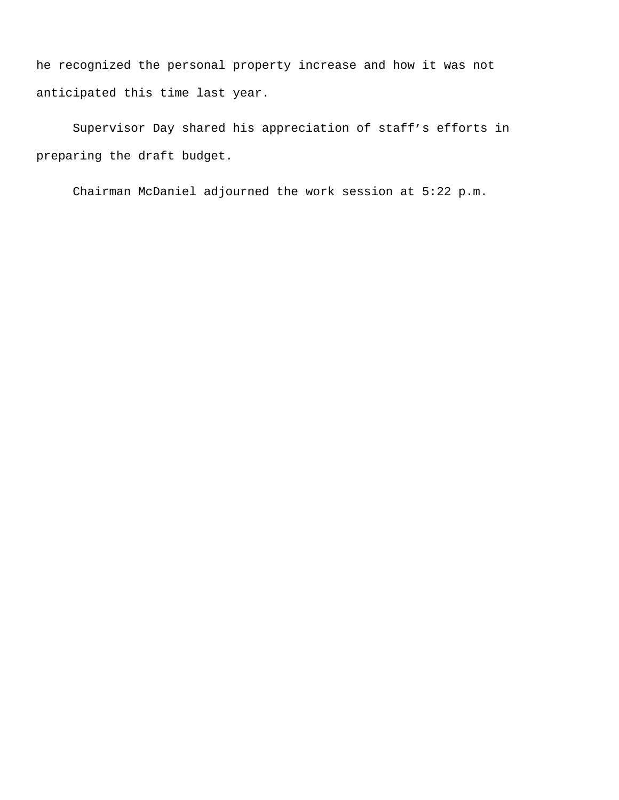he recognized the personal property increase and how it was not anticipated this time last year.

Supervisor Day shared his appreciation of staff's efforts in preparing the draft budget.

Chairman McDaniel adjourned the work session at 5:22 p.m.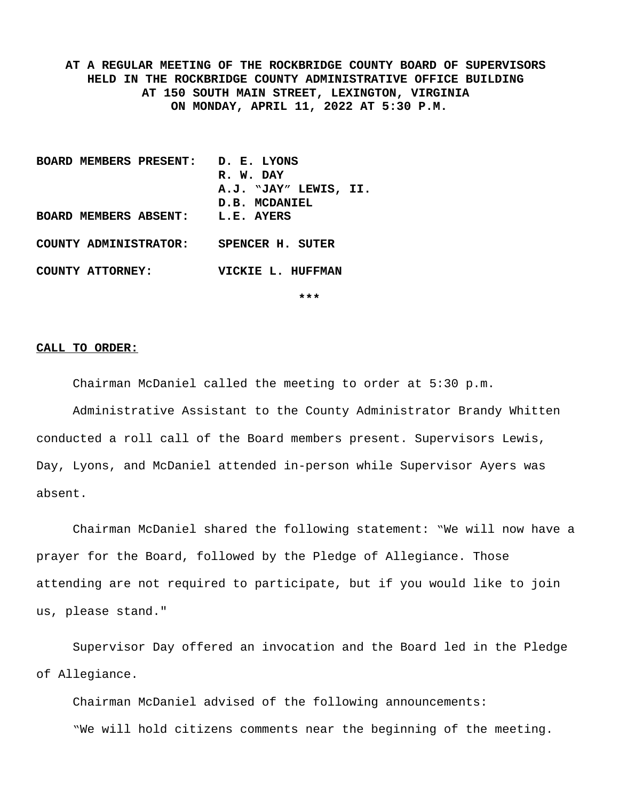**AT A REGULAR MEETING OF THE ROCKBRIDGE COUNTY BOARD OF SUPERVISORS HELD IN THE ROCKBRIDGE COUNTY ADMINISTRATIVE OFFICE BUILDING AT 150 SOUTH MAIN STREET, LEXINGTON, VIRGINIA ON MONDAY, APRIL 11, 2022 AT 5:30 P.M.**

**BOARD MEMBERS PRESENT: D. E. LYONS R. W. DAY A.J. "JAY" LEWIS, II. D.B. MCDANIEL BOARD MEMBERS ABSENT: L.E. AYERS COUNTY ADMINISTRATOR: SPENCER H. SUTER COUNTY ATTORNEY: VICKIE L. HUFFMAN**

**\*\*\***

#### **CALL TO ORDER:**

Chairman McDaniel called the meeting to order at 5:30 p.m.

Administrative Assistant to the County Administrator Brandy Whitten conducted a roll call of the Board members present. Supervisors Lewis, Day, Lyons, and McDaniel attended in-person while Supervisor Ayers was absent.

Chairman McDaniel shared the following statement: "We will now have a prayer for the Board, followed by the Pledge of Allegiance. Those attending are not required to participate, but if you would like to join us, please stand."

Supervisor Day offered an invocation and the Board led in the Pledge of Allegiance.

Chairman McDaniel advised of the following announcements: "We will hold citizens comments near the beginning of the meeting.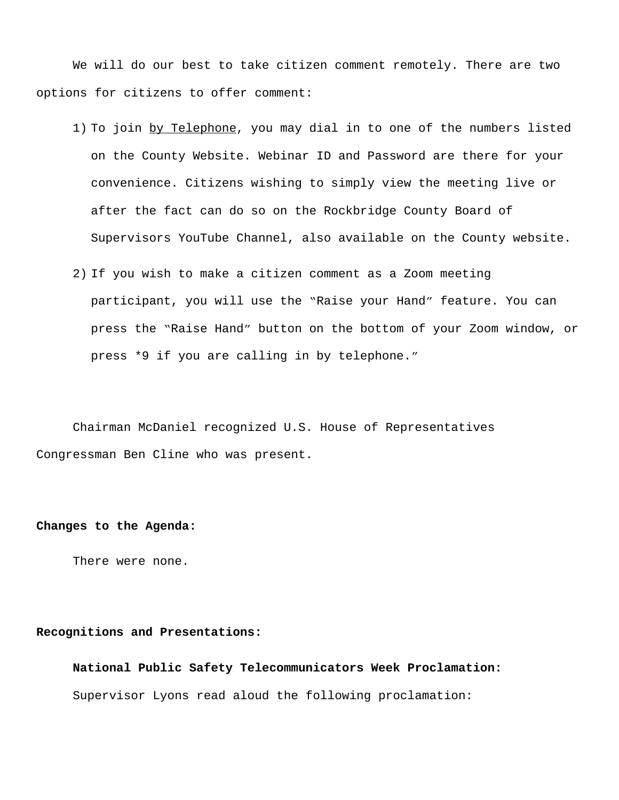We will do our best to take citizen comment remotely. There are two options for citizens to offer comment:

- 1) To join by Telephone, you may dial in to one of the numbers listed on the County Website. Webinar ID and Password are there for your convenience. Citizens wishing to simply view the meeting live or after the fact can do so on the Rockbridge County Board of Supervisors YouTube Channel, also available on the County website.
- 2) If you wish to make a citizen comment as a Zoom meeting participant, you will use the "Raise your Hand" feature. You can press the "Raise Hand" button on the bottom of your Zoom window, or press \*9 if you are calling in by telephone."

Chairman McDaniel recognized U.S. House of Representatives Congressman Ben Cline who was present.

## **Changes to the Agenda:**

There were none.

## **Recognitions and Presentations:**

**National Public Safety Telecommunicators Week Proclamation:** Supervisor Lyons read aloud the following proclamation: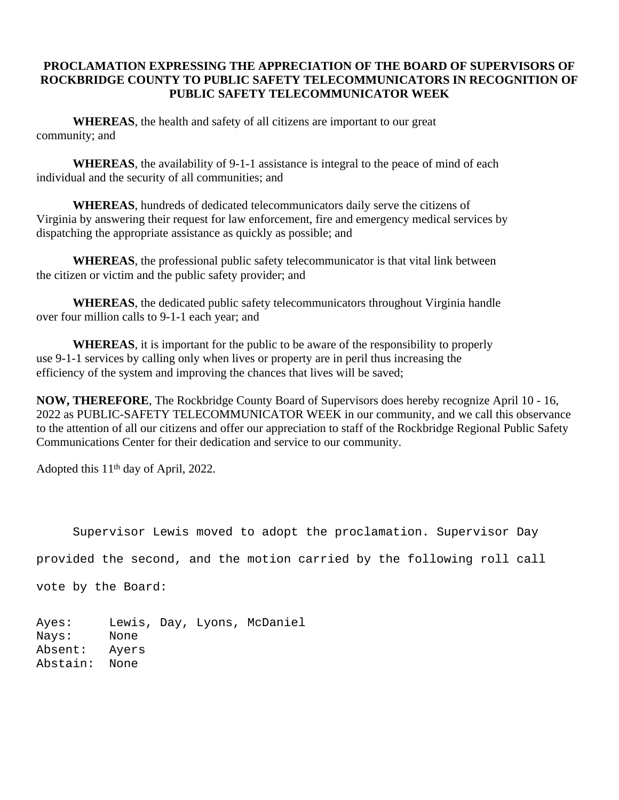# **PROCLAMATION EXPRESSING THE APPRECIATION OF THE BOARD OF SUPERVISORS OF ROCKBRIDGE COUNTY TO PUBLIC SAFETY TELECOMMUNICATORS IN RECOGNITION OF PUBLIC SAFETY TELECOMMUNICATOR WEEK**

**WHEREAS**, the health and safety of all citizens are important to our great community; and

**WHEREAS**, the availability of 9-1-1 assistance is integral to the peace of mind of each individual and the security of all communities; and

**WHEREAS**, hundreds of dedicated telecommunicators daily serve the citizens of Virginia by answering their request for law enforcement, fire and emergency medical services by dispatching the appropriate assistance as quickly as possible; and

**WHEREAS**, the professional public safety telecommunicator is that vital link between the citizen or victim and the public safety provider; and

**WHEREAS**, the dedicated public safety telecommunicators throughout Virginia handle over four million calls to 9-1-1 each year; and

**WHEREAS**, it is important for the public to be aware of the responsibility to properly use 9-1-1 services by calling only when lives or property are in peril thus increasing the efficiency of the system and improving the chances that lives will be saved;

**NOW, THEREFORE**, The Rockbridge County Board of Supervisors does hereby recognize April 10 - 16, 2022 as PUBLIC-SAFETY TELECOMMUNICATOR WEEK in our community, and we call this observance to the attention of all our citizens and offer our appreciation to staff of the Rockbridge Regional Public Safety Communications Center for their dedication and service to our community.

Adopted this  $11<sup>th</sup>$  day of April, 2022.

Supervisor Lewis moved to adopt the proclamation. Supervisor Day

provided the second, and the motion carried by the following roll call

vote by the Board:

Ayes: Lewis, Day, Lyons, McDaniel Nays: None Absent: Ayers Abstain: None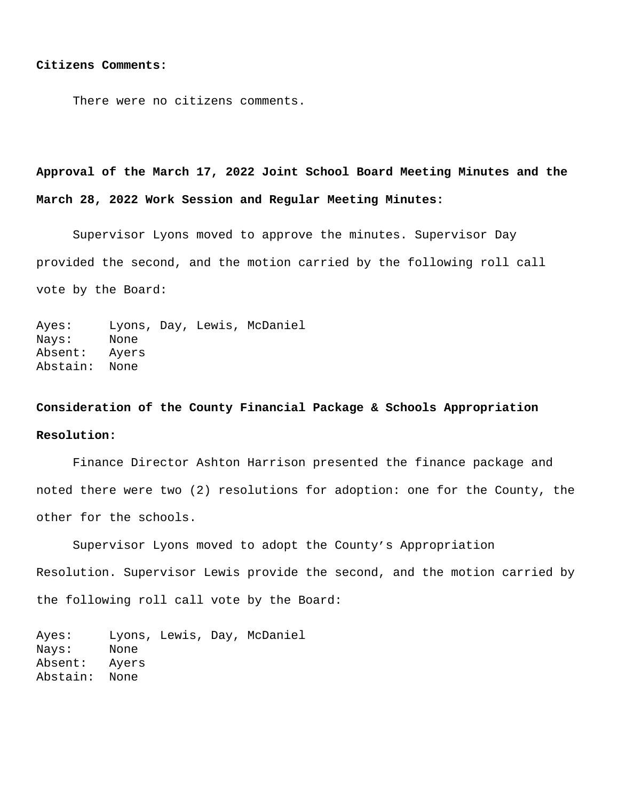#### **Citizens Comments:**

There were no citizens comments.

**Approval of the March 17, 2022 Joint School Board Meeting Minutes and the March 28, 2022 Work Session and Regular Meeting Minutes:**

Supervisor Lyons moved to approve the minutes. Supervisor Day provided the second, and the motion carried by the following roll call vote by the Board:

Ayes: Lyons, Day, Lewis, McDaniel Nays: None Absent: Ayers Abstain: None

# **Consideration of the County Financial Package & Schools Appropriation Resolution:**

Finance Director Ashton Harrison presented the finance package and noted there were two (2) resolutions for adoption: one for the County, the other for the schools.

Supervisor Lyons moved to adopt the County's Appropriation Resolution. Supervisor Lewis provide the second, and the motion carried by the following roll call vote by the Board:

Ayes: Lyons, Lewis, Day, McDaniel Nays: None Absent: Ayers Abstain: None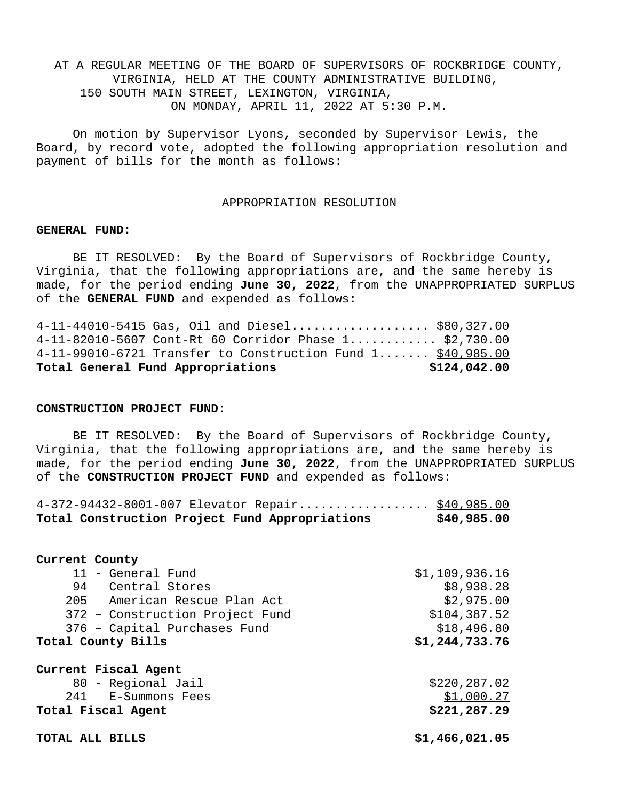AT A REGULAR MEETING OF THE BOARD OF SUPERVISORS OF ROCKBRIDGE COUNTY, VIRGINIA, HELD AT THE COUNTY ADMINISTRATIVE BUILDING, 150 SOUTH MAIN STREET, LEXINGTON, VIRGINIA, ON MONDAY, APRIL 11, 2022 AT 5:30 P.M.

On motion by Supervisor Lyons, seconded by Supervisor Lewis, the Board, by record vote, adopted the following appropriation resolution and payment of bills for the month as follows:

#### APPROPRIATION RESOLUTION

### **GENERAL FUND:**

BE IT RESOLVED: By the Board of Supervisors of Rockbridge County, Virginia, that the following appropriations are, and the same hereby is made, for the period ending **June 30, 2022**, from the UNAPPROPRIATED SURPLUS of the **GENERAL FUND** and expended as follows:

| Total General Fund Appropriations                                          | \$124,042.00 |
|----------------------------------------------------------------------------|--------------|
| $4-11-99010-6721$ Transfer to Construction Fund $1, \ldots, \$ \$40,985.00 |              |
| $4-11-82010-5607$ Cont-Rt 60 Corridor Phase $1$ \$2,730.00                 |              |
| $4-11-44010-5415$ Gas, Oil and Diesel \$80,327.00                          |              |

## **CONSTRUCTION PROJECT FUND:**

BE IT RESOLVED: By the Board of Supervisors of Rockbridge County, Virginia, that the following appropriations are, and the same hereby is made, for the period ending **June 30, 2022**, from the UNAPPROPRIATED SURPLUS of the **CONSTRUCTION PROJECT FUND** and expended as follows:

|  | 4-372-94432-8001-007 Elevator Repair \$40,985.00 |             |
|--|--------------------------------------------------|-------------|
|  | Total Construction Project Fund Appropriations   | \$40,985.00 |

| Current County  |                                 |                |
|-----------------|---------------------------------|----------------|
|                 | 11 - General Fund               | \$1,109,936.16 |
|                 | 94 - Central Stores             | \$8,938.28     |
|                 | 205 - American Rescue Plan Act  | \$2,975.00     |
|                 | 372 - Construction Project Fund | \$104,387.52   |
|                 | 376 - Capital Purchases Fund    | \$18,496.80    |
|                 | Total County Bills              | \$1,244,733.76 |
|                 | Current Fiscal Agent            |                |
|                 | 80 - Regional Jail              | \$220,287.02   |
|                 | $241 - E-Summons$ Fees          | \$1,000.27     |
|                 | Total Fiscal Agent              | \$221,287.29   |
| TOTAL ALL BILLS |                                 | \$1,466,021.05 |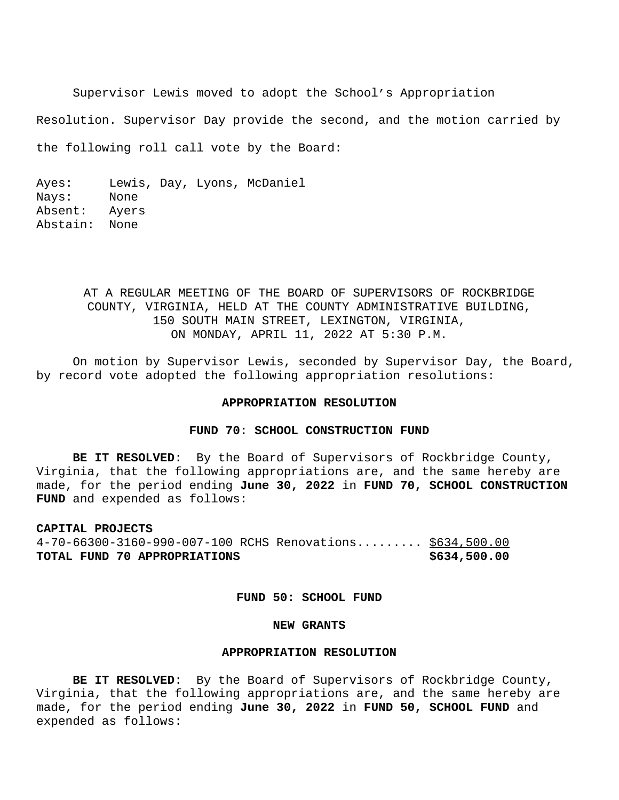Supervisor Lewis moved to adopt the School's Appropriation

Resolution. Supervisor Day provide the second, and the motion carried by

the following roll call vote by the Board:

Ayes: Lewis, Day, Lyons, McDaniel Nays: None Absent: Ayers Abstain: None

# AT A REGULAR MEETING OF THE BOARD OF SUPERVISORS OF ROCKBRIDGE COUNTY, VIRGINIA, HELD AT THE COUNTY ADMINISTRATIVE BUILDING, 150 SOUTH MAIN STREET, LEXINGTON, VIRGINIA, ON MONDAY, APRIL 11, 2022 AT 5:30 P.M.

On motion by Supervisor Lewis, seconded by Supervisor Day, the Board, by record vote adopted the following appropriation resolutions:

## **APPROPRIATION RESOLUTION**

## **FUND 70: SCHOOL CONSTRUCTION FUND**

**BE IT RESOLVED**: By the Board of Supervisors of Rockbridge County, Virginia, that the following appropriations are, and the same hereby are made, for the period ending **June 30, 2022** in **FUND 70, SCHOOL CONSTRUCTION FUND** and expended as follows:

# **CAPITAL PROJECTS** 4-70-66300-3160-990-007-100 RCHS Renovations......... \$634,500.00 **TOTAL FUND 70 APPROPRIATIONS \$634,500.00**

## **FUND 50: SCHOOL FUND**

## **NEW GRANTS**

## **APPROPRIATION RESOLUTION**

**BE IT RESOLVED**: By the Board of Supervisors of Rockbridge County, Virginia, that the following appropriations are, and the same hereby are made, for the period ending **June 30, 2022** in **FUND 50, SCHOOL FUND** and expended as follows: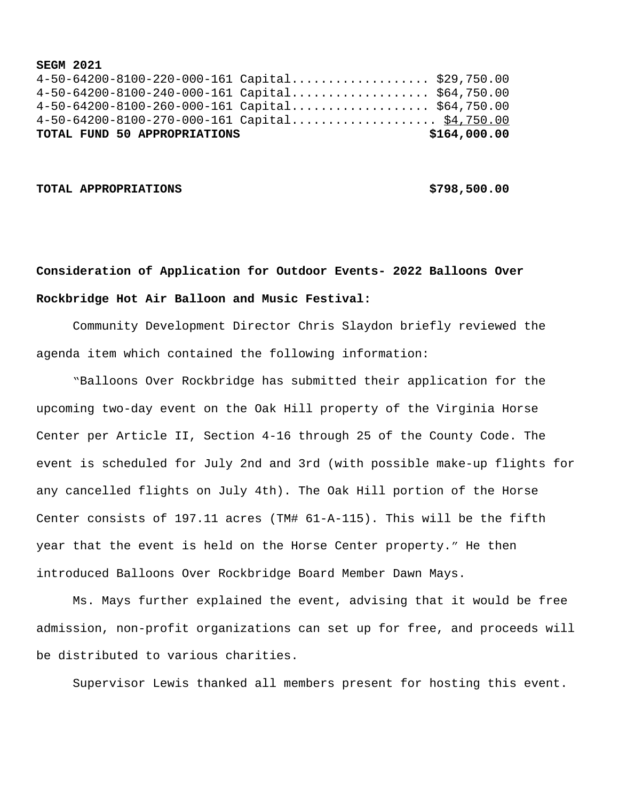### **SEGM 2021**

|  |  | TOTAL FUND 50 APPROPRIATIONS |                                                   | \$164,000.00 |
|--|--|------------------------------|---------------------------------------------------|--------------|
|  |  |                              | 4-50-64200-8100-270-000-161 Capital \$4,750.00    |              |
|  |  |                              | $4-50-64200-8100-260-000-161$ Capital \$64,750.00 |              |
|  |  |                              | $4-50-64200-8100-240-000-161$ Capital \$64,750.00 |              |
|  |  |                              | $4-50-64200-8100-220-000-161$ Capital \$29,750.00 |              |

## **TOTAL APPROPRIATIONS \$798,500.00**

# **Consideration of Application for Outdoor Events- 2022 Balloons Over Rockbridge Hot Air Balloon and Music Festival:**

Community Development Director Chris Slaydon briefly reviewed the agenda item which contained the following information:

 "Balloons Over Rockbridge has submitted their application for the upcoming two-day event on the Oak Hill property of the Virginia Horse Center per Article II, Section 4-16 through 25 of the County Code. The event is scheduled for July 2nd and 3rd (with possible make-up flights for any cancelled flights on July 4th). The Oak Hill portion of the Horse Center consists of 197.11 acres (TM# 61-A-115). This will be the fifth year that the event is held on the Horse Center property." He then introduced Balloons Over Rockbridge Board Member Dawn Mays.

Ms. Mays further explained the event, advising that it would be free admission, non-profit organizations can set up for free, and proceeds will be distributed to various charities.

Supervisor Lewis thanked all members present for hosting this event.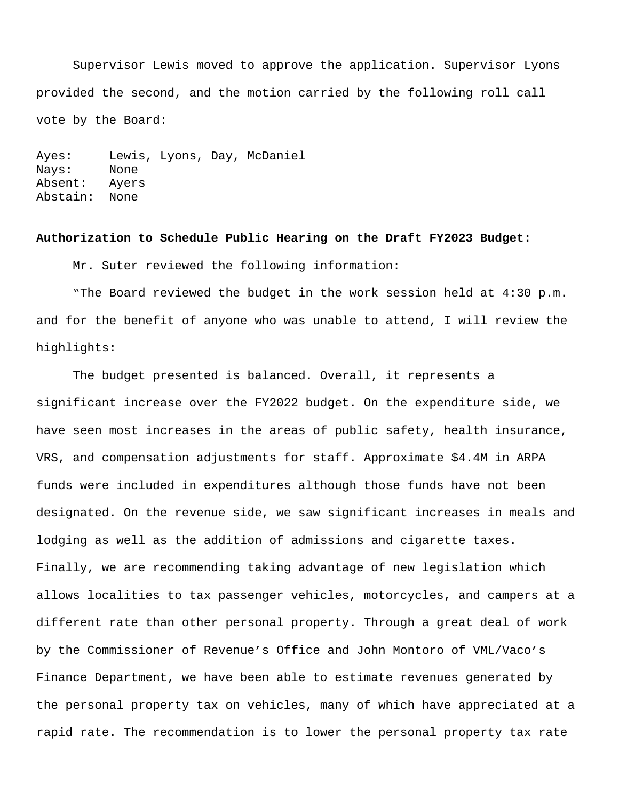Supervisor Lewis moved to approve the application. Supervisor Lyons provided the second, and the motion carried by the following roll call vote by the Board:

Ayes: Lewis, Lyons, Day, McDaniel Nays: None Absent: Ayers Abstain: None

## **Authorization to Schedule Public Hearing on the Draft FY2023 Budget:**

Mr. Suter reviewed the following information:

"The Board reviewed the budget in the work session held at 4:30 p.m. and for the benefit of anyone who was unable to attend, I will review the highlights:

The budget presented is balanced. Overall, it represents a significant increase over the FY2022 budget. On the expenditure side, we have seen most increases in the areas of public safety, health insurance, VRS, and compensation adjustments for staff. Approximate \$4.4M in ARPA funds were included in expenditures although those funds have not been designated. On the revenue side, we saw significant increases in meals and lodging as well as the addition of admissions and cigarette taxes. Finally, we are recommending taking advantage of new legislation which allows localities to tax passenger vehicles, motorcycles, and campers at a different rate than other personal property. Through a great deal of work by the Commissioner of Revenue's Office and John Montoro of VML/Vaco's Finance Department, we have been able to estimate revenues generated by the personal property tax on vehicles, many of which have appreciated at a rapid rate. The recommendation is to lower the personal property tax rate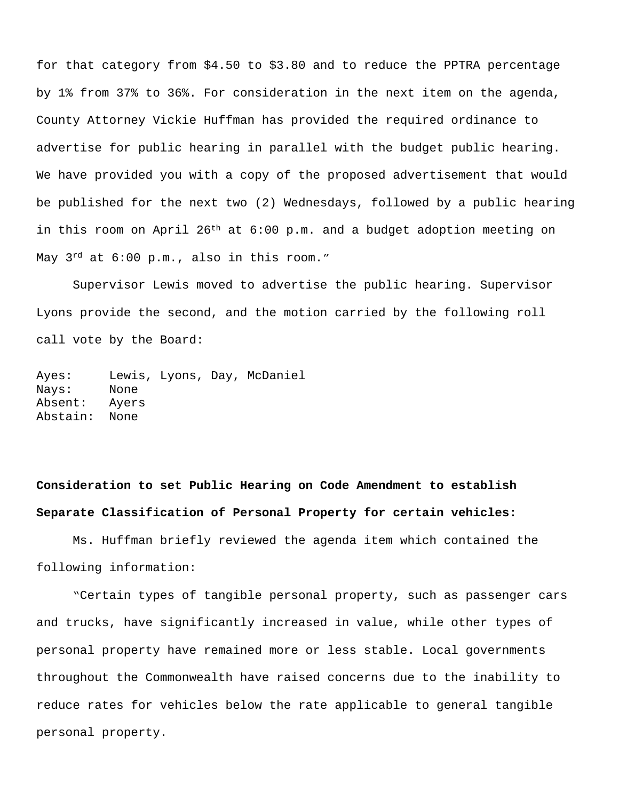for that category from \$4.50 to \$3.80 and to reduce the PPTRA percentage by 1% from 37% to 36%. For consideration in the next item on the agenda, County Attorney Vickie Huffman has provided the required ordinance to advertise for public hearing in parallel with the budget public hearing. We have provided you with a copy of the proposed advertisement that would be published for the next two (2) Wednesdays, followed by a public hearing in this room on April  $26<sup>th</sup>$  at  $6:00$  p.m. and a budget adoption meeting on May  $3^{rd}$  at  $6:00$  p.m., also in this room."

Supervisor Lewis moved to advertise the public hearing. Supervisor Lyons provide the second, and the motion carried by the following roll call vote by the Board:

Ayes: Lewis, Lyons, Day, McDaniel Nays: None Absent: Ayers Abstain: None

# **Consideration to set Public Hearing on Code Amendment to establish Separate Classification of Personal Property for certain vehicles:**

Ms. Huffman briefly reviewed the agenda item which contained the following information:

 "Certain types of tangible personal property, such as passenger cars and trucks, have significantly increased in value, while other types of personal property have remained more or less stable. Local governments throughout the Commonwealth have raised concerns due to the inability to reduce rates for vehicles below the rate applicable to general tangible personal property.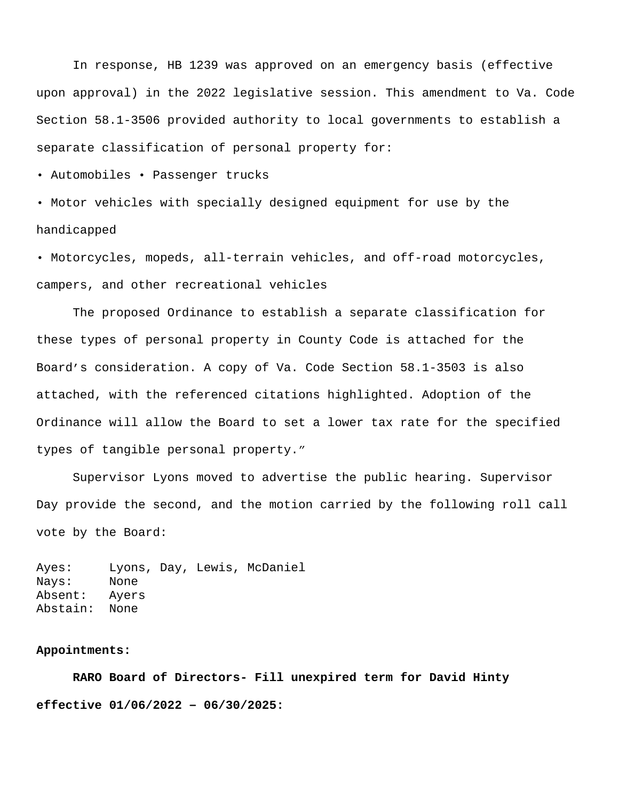In response, HB 1239 was approved on an emergency basis (effective upon approval) in the 2022 legislative session. This amendment to Va. Code Section 58.1-3506 provided authority to local governments to establish a separate classification of personal property for:

• Automobiles • Passenger trucks

• Motor vehicles with specially designed equipment for use by the handicapped

• Motorcycles, mopeds, all-terrain vehicles, and off-road motorcycles, campers, and other recreational vehicles

 The proposed Ordinance to establish a separate classification for these types of personal property in County Code is attached for the Board's consideration. A copy of Va. Code Section 58.1-3503 is also attached, with the referenced citations highlighted. Adoption of the Ordinance will allow the Board to set a lower tax rate for the specified types of tangible personal property."

Supervisor Lyons moved to advertise the public hearing. Supervisor Day provide the second, and the motion carried by the following roll call vote by the Board:

Ayes: Lyons, Day, Lewis, McDaniel Nays: None Absent: Ayers Abstain: None

## **Appointments:**

 **RARO Board of Directors- Fill unexpired term for David Hinty effective 01/06/2022 – 06/30/2025:**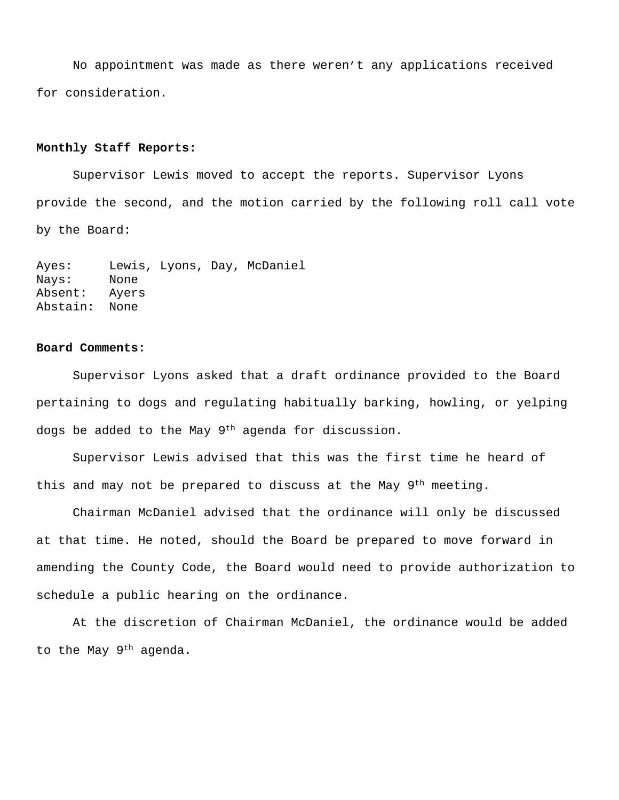No appointment was made as there weren't any applications received for consideration.

## **Monthly Staff Reports:**

Supervisor Lewis moved to accept the reports. Supervisor Lyons provide the second, and the motion carried by the following roll call vote by the Board:

Ayes: Lewis, Lyons, Day, McDaniel Nays: None Absent: Ayers Abstain: None

## **Board Comments:**

Supervisor Lyons asked that a draft ordinance provided to the Board pertaining to dogs and regulating habitually barking, howling, or yelping dogs be added to the May 9<sup>th</sup> agenda for discussion.

Supervisor Lewis advised that this was the first time he heard of this and may not be prepared to discuss at the May 9th meeting.

Chairman McDaniel advised that the ordinance will only be discussed at that time. He noted, should the Board be prepared to move forward in amending the County Code, the Board would need to provide authorization to schedule a public hearing on the ordinance.

At the discretion of Chairman McDaniel, the ordinance would be added to the May  $9<sup>th</sup>$  agenda.